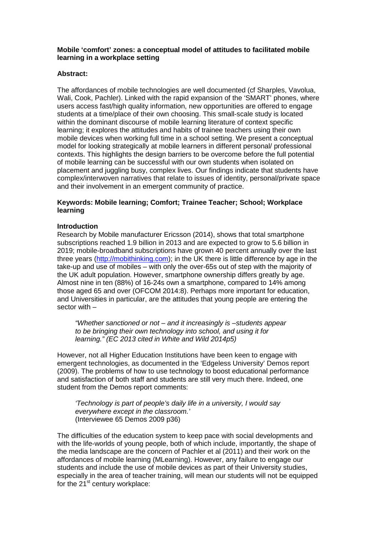# **Mobile 'comfort' zones: a conceptual model of attitudes to facilitated mobile learning in a workplace setting**

## **Abstract:**

The affordances of mobile technologies are well documented (cf Sharples, Vavolua, Wali, Cook, Pachler). Linked with the rapid expansion of the 'SMART' phones, where users access fast/high quality information, new opportunities are offered to engage students at a time/place of their own choosing. This small-scale study is located within the dominant discourse of mobile learning literature of context specific learning; it explores the attitudes and habits of trainee teachers using their own mobile devices when working full time in a school setting. We present a conceptual model for looking strategically at mobile learners in different personal/ professional contexts. This highlights the design barriers to be overcome before the full potential of mobile learning can be successful with our own students when isolated on placement and juggling busy, complex lives. Our findings indicate that students have complex/interwoven narratives that relate to issues of identity, personal/private space and their involvement in an emergent community of practice.

# **Keywords: Mobile learning; Comfort; Trainee Teacher; School; Workplace learning**

### **Introduction**

Research by Mobile manufacturer Ericsson (2014), shows that total smartphone subscriptions reached 1.9 billion in 2013 and are expected to grow to 5.6 billion in 2019; mobile-broadband subscriptions have grown 40 percent annually over the last three years [\(http://mobithinking.com\)](http://mobithinking.com/); in the UK there is little difference by age in the take-up and use of mobiles – with only the over-65s out of step with the majority of the UK adult population. However, smartphone ownership differs greatly by age. Almost nine in ten (88%) of 16-24s own a smartphone, compared to 14% among those aged 65 and over (OFCOM 2014:8). Perhaps more important for education, and Universities in particular, are the attitudes that young people are entering the sector with –

*"Whether sanctioned or not – and it increasingly is –students appear to be bringing their own technology into school, and using it for learning." (EC 2013 cited in White and Wild 2014p5)*

However, not all Higher Education Institutions have been keen to engage with emergent technologies, as documented in the 'Edgeless University' Demos report (2009). The problems of how to use technology to boost educational performance and satisfaction of both staff and students are still very much there. Indeed, one student from the Demos report comments:

*'Technology is part of people's daily life in a university, I would say everywhere except in the classroom.'*  (Interviewee 65 Demos 2009 p36)

The difficulties of the education system to keep pace with social developments and with the life-worlds of young people, both of which include, importantly, the shape of the media landscape are the concern of Pachler et al (2011) and their work on the affordances of mobile learning (MLearning). However, any failure to engage our students and include the use of mobile devices as part of their University studies, especially in the area of teacher training, will mean our students will not be equipped for the  $21^{st}$  century workplace: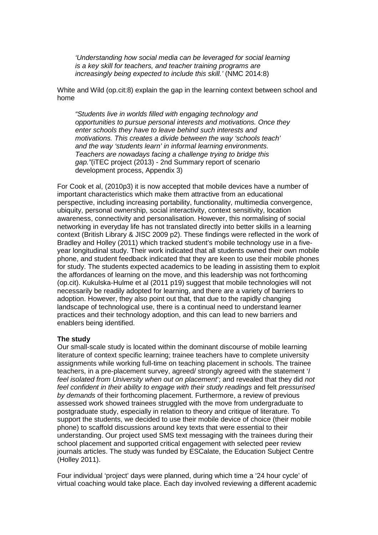*'Understanding how social media can be leveraged for social learning is a key skill for teachers, and teacher training programs are increasingly being expected to include this skill.'* (NMC 2014:8)

White and Wild (op.cit:8) explain the gap in the learning context between school and home

*"Students live in worlds filled with engaging technology and opportunities to pursue personal interests and motivations. Once they enter schools they have to leave behind such interests and motivations. This creates a divide between the way 'schools teach' and the way 'students learn' in informal learning environments. Teachers are nowadays facing a challenge trying to bridge this gap."*(iTEC project (2013) - 2nd Summary report of scenario development process, Appendix 3)

For Cook et al, (2010p3) it is now accepted that mobile devices have a number of important characteristics which make them attractive from an educational perspective, including increasing portability, functionality, multimedia convergence, ubiquity, personal ownership, social interactivity, context sensitivity, location awareness, connectivity and personalisation. However, this normalising of social networking in everyday life has not translated directly into better skills in a learning context (British Library & JISC 2009 p2). These findings were reflected in the work of Bradley and Holley (2011) which tracked student's mobile technology use in a fiveyear longitudinal study. Their work indicated that all students owned their own mobile phone, and student feedback indicated that they are keen to use their mobile phones for study. The students expected academics to be leading in assisting them to exploit the affordances of learning on the move, and this leadership was not forthcoming (op.cit). Kukulska-Hulme et al (2011 p19) suggest that mobile technologies will not necessarily be readily adopted for learning, and there are a variety of barriers to adoption. However, they also point out that, that due to the rapidly changing landscape of technological use, there is a continual need to understand learner practices and their technology adoption, and this can lead to new barriers and enablers being identified.

#### **The study**

Our small-scale study is located within the dominant discourse of mobile learning literature of context specific learning; trainee teachers have to complete university assignments while working full-time on teaching placement in schools. The trainee teachers, in a pre-placement survey, agreed/ strongly agreed with the statement '*I feel isolated from University when out on placement*'; and revealed that they did *not feel confident in their ability to engage with their study readings and felt pressurised by demands* of their forthcoming placement. Furthermore, a review of previous assessed work showed trainees struggled with the move from undergraduate to postgraduate study, especially in relation to theory and critique of literature. To support the students, we decided to use their mobile device of choice (their mobile phone) to scaffold discussions around key texts that were essential to their understanding. Our project used SMS text messaging with the trainees during their school placement and supported critical engagement with selected peer review journals articles. The study was funded by ESCalate, the Education Subject Centre (Holley 2011).

Four individual 'project' days were planned, during which time a '24 hour cycle' of virtual coaching would take place. Each day involved reviewing a different academic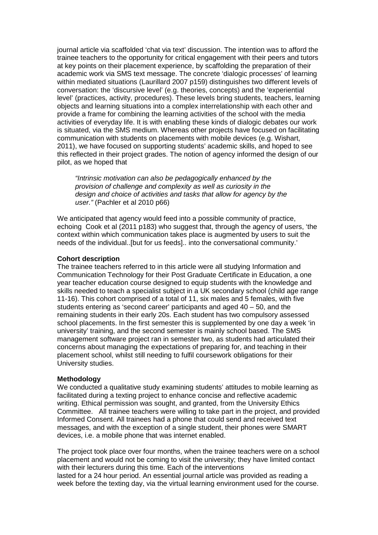journal article via scaffolded 'chat via text' discussion. The intention was to afford the trainee teachers to the opportunity for critical engagement with their peers and tutors at key points on their placement experience, by scaffolding the preparation of their academic work via SMS text message. The concrete 'dialogic processes' of learning within mediated situations (Laurillard 2007 p159) distinguishes two different levels of conversation: the 'discursive level' (e.g. theories, concepts) and the 'experiential level' (practices, activity, procedures). These levels bring students, teachers, learning objects and learning situations into a complex interrelationship with each other and provide a frame for combining the learning activities of the school with the media activities of everyday life. It is with enabling these kinds of dialogic debates our work is situated, via the SMS medium. Whereas other projects have focused on facilitating communication with students on placements with mobile devices (e.g. Wishart, 2011), we have focused on supporting students' academic skills, and hoped to see this reflected in their project grades. The notion of agency informed the design of our pilot, as we hoped that

*"Intrinsic motivation can also be pedagogically enhanced by the provision of challenge and complexity as well as curiosity in the design and choice of activities and tasks that allow for agency by the user."* (Pachler et al 2010 p66)

We anticipated that agency would feed into a possible community of practice, echoing Cook et al (2011 p183) who suggest that, through the agency of users, 'the context within which communication takes place is augmented by users to suit the needs of the individual..[but for us feeds].. into the conversational community.'

#### **Cohort description**

The trainee teachers referred to in this article were all studying Information and Communication Technology for their Post Graduate Certificate in Education, a one year teacher education course designed to equip students with the knowledge and skills needed to teach a specialist subject in a UK secondary school (child age range 11-16). This cohort comprised of a total of 11, six males and 5 females, with five students entering as 'second career' participants and aged 40 – 50, and the remaining students in their early 20s. Each student has two compulsory assessed school placements. In the first semester this is supplemented by one day a week 'in university' training, and the second semester is mainly school based. The SMS management software project ran in semester two, as students had articulated their concerns about managing the expectations of preparing for, and teaching in their placement school, whilst still needing to fulfil coursework obligations for their University studies.

#### **Methodology**

We conducted a qualitative study examining students' attitudes to mobile learning as facilitated during a texting project to enhance concise and reflective academic writing. Ethical permission was sought, and granted, from the University Ethics Committee. All trainee teachers were willing to take part in the project, and provided Informed Consent. All trainees had a phone that could send and received text messages, and with the exception of a single student, their phones were SMART devices, i.e. a mobile phone that was internet enabled.

The project took place over four months, when the trainee teachers were on a school placement and would not be coming to visit the university; they have limited contact with their lecturers during this time. Each of the interventions lasted for a 24 hour period. An essential journal article was provided as reading a week before the texting day, via the virtual learning environment used for the course.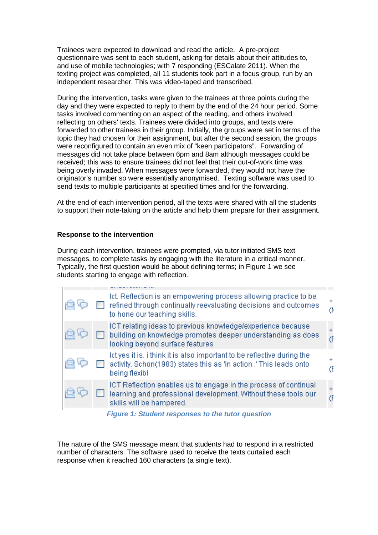Trainees were expected to download and read the article. A pre-project questionnaire was sent to each student, asking for details about their attitudes to, and use of mobile technologies; with 7 responding (ESCalate 2011). When the texting project was completed, all 11 students took part in a focus group, run by an independent researcher. This was video-taped and transcribed.

During the intervention, tasks were given to the trainees at three points during the day and they were expected to reply to them by the end of the 24 hour period. Some tasks involved commenting on an aspect of the reading, and others involved reflecting on others' texts. Trainees were divided into groups, and texts were forwarded to other trainees in their group. Initially, the groups were set in terms of the topic they had chosen for their assignment, but after the second session, the groups were reconfigured to contain an even mix of "keen participators". Forwarding of messages did not take place between 6pm and 8am although messages could be received; this was to ensure trainees did not feel that their out-of-work time was being overly invaded. When messages were forwarded, they would not have the originator's number so were essentially anonymised. Texting software was used to send texts to multiple participants at specified times and for the forwarding.

At the end of each intervention period, all the texts were shared with all the students to support their note-taking on the article and help them prepare for their assignment.

### **Response to the intervention**

During each intervention, trainees were prompted, via tutor initiated SMS text messages, to complete tasks by engaging with the literature in a critical manner. Typically, the first question would be about defining terms; in Figure 1 we see students starting to engage with reflection.

|  | Ict. Reflection is an empowering process allowing practice to be<br>refined through continually reevaluating decisions and outcomes<br>to hone our teaching skills. | $\ddot{}$<br>0 |
|--|---------------------------------------------------------------------------------------------------------------------------------------------------------------------|----------------|
|  | ICT relating ideas to previous knowledge/experience because<br>building on knowledge promotes deeper understanding as does<br>looking beyond surface features       | $+$<br>Œ       |
|  | let yes it is, i think it is also important to be reflective during the<br>activity. Schon(1983) states this as 'in action.' This leads onto<br>being flexibl       | Œ              |
|  | ICT Reflection enables us to engage in the process of continual<br>learning and professional development. Without these tools our<br>skills will be hampered.       | Œ              |

*Figure 1: Student responses to the tutor question*

The nature of the SMS message meant that students had to respond in a restricted number of characters. The software used to receive the texts curtailed each response when it reached 160 characters (a single text).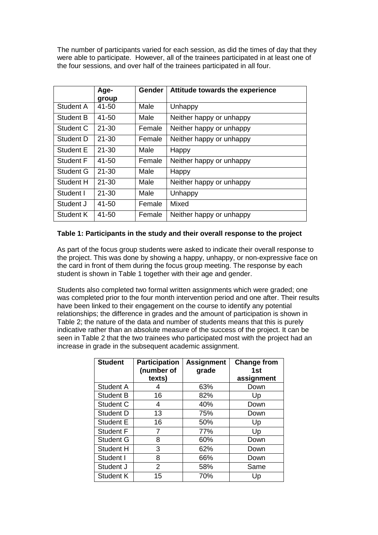The number of participants varied for each session, as did the times of day that they were able to participate. However, all of the trainees participated in at least one of the four sessions, and over half of the trainees participated in all four.

|                  | Age-<br>group | Gender | Attitude towards the experience |  |
|------------------|---------------|--------|---------------------------------|--|
| Student A        | 41-50         | Male   | Unhappy                         |  |
| <b>Student B</b> | 41-50         | Male   | Neither happy or unhappy        |  |
| Student C        | $21 - 30$     | Female | Neither happy or unhappy        |  |
| Student D        | $21 - 30$     | Female | Neither happy or unhappy        |  |
| Student E        | $21 - 30$     | Male   | Happy                           |  |
| Student F        | 41-50         | Female | Neither happy or unhappy        |  |
| <b>Student G</b> | 21-30         | Male   | Happy                           |  |
| Student H        | $21 - 30$     | Male   | Neither happy or unhappy        |  |
| Student I        | $21 - 30$     | Male   | Unhappy                         |  |
| Student J        | 41-50         | Female | Mixed                           |  |
| Student K        | 41-50         | Female | Neither happy or unhappy        |  |

# **Table 1: Participants in the study and their overall response to the project**

As part of the focus group students were asked to indicate their overall response to the project. This was done by showing a happy, unhappy, or non-expressive face on the card in front of them during the focus group meeting. The response by each student is shown in Table 1 together with their age and gender.

Students also completed two formal written assignments which were graded; one was completed prior to the four month intervention period and one after. Their results have been linked to their engagement on the course to identify any potential relationships; the difference in grades and the amount of participation is shown in Table 2; the nature of the data and number of students means that this is purely indicative rather than an absolute measure of the success of the project. It can be seen in Table 2 that the two trainees who participated most with the project had an increase in grade in the subsequent academic assignment.

| <b>Student</b>   | <b>Participation</b><br>(number of<br>texts) | <b>Assignment</b><br>grade | <b>Change from</b><br>1st<br>assignment |
|------------------|----------------------------------------------|----------------------------|-----------------------------------------|
| Student A        | 4                                            | 63%                        | Down                                    |
| <b>Student B</b> | 16                                           | 82%                        | Up                                      |
| Student C        | 4                                            | 40%                        | Down                                    |
| <b>Student D</b> | 13                                           | 75%                        | Down                                    |
| <b>Student E</b> | 16                                           | 50%                        | Up                                      |
| <b>Student F</b> | 7                                            | 77%                        | Up                                      |
| Student G        | 8                                            | 60%                        | Down                                    |
| Student H        | 3                                            | 62%                        | Down                                    |
| Student I        | 8                                            | 66%                        | Down                                    |
| Student J        | $\overline{2}$                               | 58%                        | Same                                    |
| Student K        | 15                                           | 70%                        | Up                                      |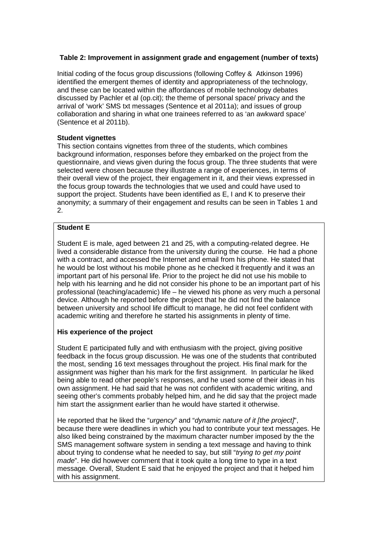# **Table 2: Improvement in assignment grade and engagement (number of texts)**

Initial coding of the focus group discussions (following Coffey & Atkinson 1996) identified the emergent themes of identity and appropriateness of the technology, and these can be located within the affordances of mobile technology debates discussed by Pachler et al (op.cit); the theme of personal space/ privacy and the arrival of 'work' SMS txt messages (Sentence et al 2011a); and issues of group collaboration and sharing in what one trainees referred to as 'an awkward space' (Sentence et al 2011b).

# **Student vignettes**

This section contains vignettes from three of the students, which combines background information, responses before they embarked on the project from the questionnaire, and views given during the focus group. The three students that were selected were chosen because they illustrate a range of experiences, in terms of their overall view of the project, their engagement in it, and their views expressed in the focus group towards the technologies that we used and could have used to support the project. Students have been identified as E, I and K to preserve their anonymity; a summary of their engagement and results can be seen in Tables 1 and 2.

# **Student E**

Student E is male, aged between 21 and 25, with a computing-related degree. He lived a considerable distance from the university during the course. He had a phone with a contract, and accessed the Internet and email from his phone. He stated that he would be lost without his mobile phone as he checked it frequently and it was an important part of his personal life. Prior to the project he did not use his mobile to help with his learning and he did not consider his phone to be an important part of his professional (teaching/academic) life – he viewed his phone as very much a personal device. Although he reported before the project that he did not find the balance between university and school life difficult to manage, he did not feel confident with academic writing and therefore he started his assignments in plenty of time.

# **His experience of the project**

Student E participated fully and with enthusiasm with the project, giving positive feedback in the focus group discussion. He was one of the students that contributed the most, sending 16 text messages throughout the project. His final mark for the assignment was higher than his mark for the first assignment. In particular he liked being able to read other people's responses, and he used some of their ideas in his own assignment. He had said that he was not confident with academic writing, and seeing other's comments probably helped him, and he did say that the project made him start the assignment earlier than he would have started it otherwise.

He reported that he liked the "*urgency*" and "*dynamic nature of it [the project]*", because there were deadlines in which you had to contribute your text messages. He also liked being constrained by the maximum character number imposed by the the SMS management software system in sending a text message and having to think about trying to condense what he needed to say, but still "*trying to get my point made*". He did however comment that it took quite a long time to type in a text message. Overall, Student E said that he enjoyed the project and that it helped him with his assignment.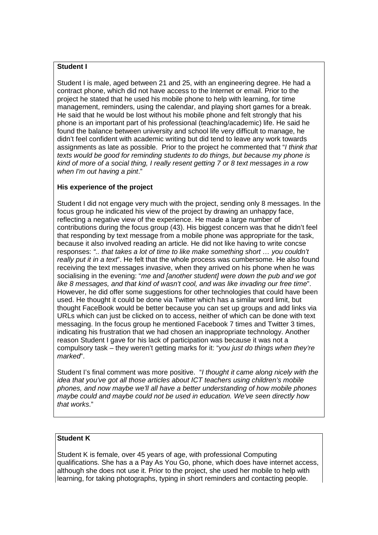# **Student I**

Student I is male, aged between 21 and 25, with an engineering degree. He had a contract phone, which did not have access to the Internet or email. Prior to the project he stated that he used his mobile phone to help with learning, for time management, reminders, using the calendar, and playing short games for a break. He said that he would be lost without his mobile phone and felt strongly that his phone is an important part of his professional (teaching/academic) life. He said he found the balance between university and school life very difficult to manage, he didn't feel confident with academic writing but did tend to leave any work towards assignments as late as possible. Prior to the project he commented that "*I think that texts would be good for reminding students to do things, but because my phone is kind of more of a social thing, I really resent getting 7 or 8 text messages in a row when I'm out having a pint*."

# **His experience of the project**

Student I did not engage very much with the project, sending only 8 messages. In the focus group he indicated his view of the project by drawing an unhappy face, reflecting a negative view of the experience. He made a large number of contributions during the focus group (43). His biggest concern was that he didn't feel that responding by text message from a mobile phone was appropriate for the task, because it also involved reading an article. He did not like having to write concse responses: *".. that takes a lot of time to like make something short … you couldn't really put it in a text*". He felt that the whole process was cumbersome. He also found receiving the text messages invasive, when they arrived on his phone when he was socialising in the evening: "*me and [another student] were down the pub and we got like 8 messages, and that kind of wasn't cool, and was like invading our free time*". However, he did offer some suggestions for other technologies that could have been used. He thought it could be done via Twitter which has a similar word limit, but thought FaceBook would be better because you can set up groups and add links via URLs which can just be clicked on to access, neither of which can be done with text messaging. In the focus group he mentioned Facebook 7 times and Twitter 3 times, indicating his frustration that we had chosen an inappropriate technology. Another reason Student I gave for his lack of participation was because it was not a compulsory task – they weren't getting marks for it: "*you just do things when they're marked*".

Student I's final comment was more positive. "*I thought it came along nicely with the idea that you've got all those articles about ICT teachers using children's mobile phones, and now maybe we'll all have a better understanding of how mobile phones maybe could and maybe could not be used in education. We've seen directly how that works*."

# **Student K**

Student K is female, over 45 years of age, with professional Computing qualifications. She has a a Pay As You Go, phone, which does have internet access, although she does not use it. Prior to the project, she used her mobile to help with learning, for taking photographs, typing in short reminders and contacting people.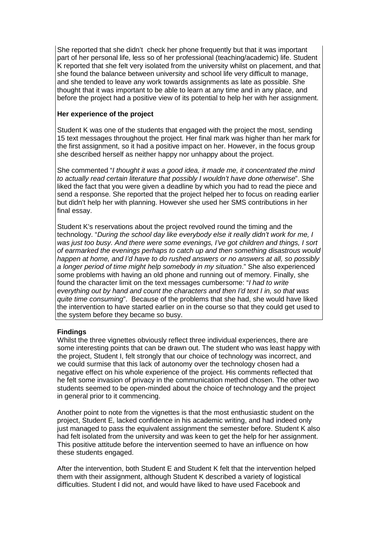She reported that she didn't check her phone frequently but that it was important part of her personal life, less so of her professional (teaching/academic) life. Student K reported that she felt very isolated from the university whilst on placement, and that she found the balance between university and school life very difficult to manage, and she tended to leave any work towards assignments as late as possible. She thought that it was important to be able to learn at any time and in any place, and before the project had a positive view of its potential to help her with her assignment.

## **Her experience of the project**

Student K was one of the students that engaged with the project the most, sending 15 text messages throughout the project. Her final mark was higher than her mark for the first assignment, so it had a positive impact on her. However, in the focus group she described herself as neither happy nor unhappy about the project.

She commented "*I thought it was a good idea, it made me, it concentrated the mind to actually read certain literature that possibly I wouldn't have done otherwise*". She liked the fact that you were given a deadline by which you had to read the piece and send a response. She reported that the project helped her to focus on reading earlier but didn't help her with planning. However she used her SMS contributions in her final essay.

Student K's reservations about the project revolved round the timing and the technology. "*During the school day like everybody else it really didn't work for me, I was just too busy. And there were some evenings, I've got children and things, I sort of earmarked the evenings perhaps to catch up and then something disastrous would happen at home, and I'd have to do rushed answers or no answers at all, so possibly a longer period of time might help somebody in my situation*." She also experienced some problems with having an old phone and running out of memory. Finally, she found the character limit on the text messages cumbersome: "*I had to write everything out by hand and count the characters and then I'd text I in, so that was quite time consuming*". Because of the problems that she had, she would have liked the intervention to have started earlier on in the course so that they could get used to the system before they became so busy.

#### **Findings**

Whilst the three vignettes obviously reflect three individual experiences, there are some interesting points that can be drawn out. The student who was least happy with the project, Student I, felt strongly that our choice of technology was incorrect, and we could surmise that this lack of autonomy over the technology chosen had a negative effect on his whole experience of the project. His comments reflected that he felt some invasion of privacy in the communication method chosen. The other two students seemed to be open-minded about the choice of technology and the project in general prior to it commencing.

Another point to note from the vignettes is that the most enthusiastic student on the project, Student E, lacked confidence in his academic writing, and had indeed only just managed to pass the equivalent assignment the semester before. Student K also had felt isolated from the university and was keen to get the help for her assignment. This positive attitude before the intervention seemed to have an influence on how these students engaged.

After the intervention, both Student E and Student K felt that the intervention helped them with their assignment, although Student K described a variety of logistical difficulties. Student I did not, and would have liked to have used Facebook and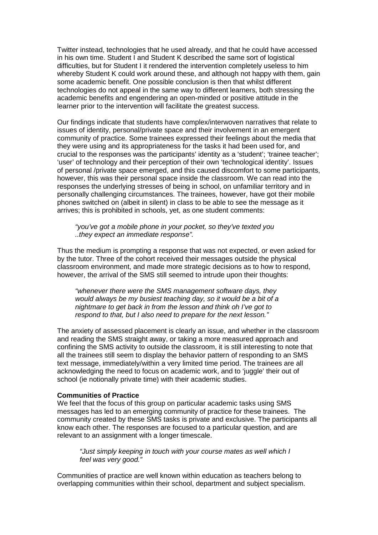Twitter instead, technologies that he used already, and that he could have accessed in his own time. Student I and Student K described the same sort of logistical difficulties, but for Student I it rendered the intervention completely useless to him whereby Student K could work around these, and although not happy with them, gain some academic benefit. One possible conclusion is then that whilst different technologies do not appeal in the same way to different learners, both stressing the academic benefits and engendering an open-minded or positive attitude in the learner prior to the intervention will facilitate the greatest success.

Our findings indicate that students have complex/interwoven narratives that relate to issues of identity, personal/private space and their involvement in an emergent community of practice. Some trainees expressed their feelings about the media that they were using and its appropriateness for the tasks it had been used for, and crucial to the responses was the participants' identity as a 'student'; 'trainee teacher'; 'user' of technology and their perception of their own 'technological identity'. Issues of personal /private space emerged, and this caused discomfort to some participants, however, this was their personal space inside the classroom. We can read into the responses the underlying stresses of being in school, on unfamiliar territory and in personally challenging circumstances. The trainees, however, have got their mobile phones switched on (albeit in silent) in class to be able to see the message as it arrives; this is prohibited in schools, yet, as one student comments:

*"you've got a mobile phone in your pocket, so they've texted you ..they expect an immediate response".* 

Thus the medium is prompting a response that was not expected, or even asked for by the tutor. Three of the cohort received their messages outside the physical classroom environment, and made more strategic decisions as to how to respond, however, the arrival of the SMS still seemed to intrude upon their thoughts:

*"whenever there were the SMS management software days, they would always be my busiest teaching day, so it would be a bit of a nightmare to get back in from the lesson and think oh I've got to respond to that, but I also need to prepare for the next lesson."* 

The anxiety of assessed placement is clearly an issue, and whether in the classroom and reading the SMS straight away, or taking a more measured approach and confining the SMS activity to outside the classroom, it is still interesting to note that all the trainees still seem to display the behavior pattern of responding to an SMS text message, immediately/within a very limited time period. The trainees are all acknowledging the need to focus on academic work, and to 'juggle' their out of school (ie notionally private time) with their academic studies.

#### **Communities of Practice**

We feel that the focus of this group on particular academic tasks using SMS messages has led to an emerging community of practice for these trainees. The community created by these SMS tasks is private and exclusive. The participants all know each other. The responses are focused to a particular question, and are relevant to an assignment with a longer timescale.

*"Just simply keeping in touch with your course mates as well which I feel was very good."* 

Communities of practice are well known within education as teachers belong to overlapping communities within their school, department and subject specialism.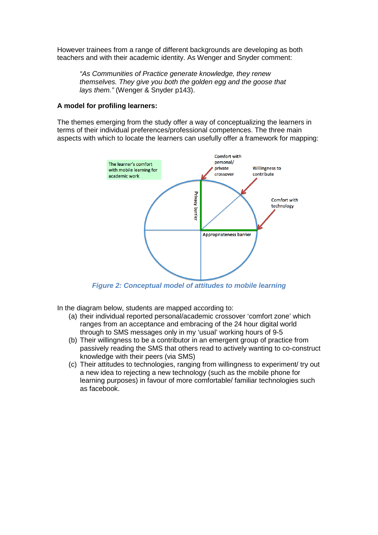However trainees from a range of different backgrounds are developing as both teachers and with their academic identity. As Wenger and Snyder comment:

*"As Communities of Practice generate knowledge, they renew themselves. They give you both the golden egg and the goose that lays them."* (Wenger & Snyder p143).

#### **A model for profiling learners:**

The themes emerging from the study offer a way of conceptualizing the learners in terms of their individual preferences/professional competences. The three main aspects with which to locate the learners can usefully offer a framework for mapping:



*Figure 2: Conceptual model of attitudes to mobile learning*

In the diagram below, students are mapped according to:

- (a) their individual reported personal/academic crossover 'comfort zone' which ranges from an acceptance and embracing of the 24 hour digital world through to SMS messages only in my 'usual' working hours of 9-5
- (b) Their willingness to be a contributor in an emergent group of practice from passively reading the SMS that others read to actively wanting to co-construct knowledge with their peers (via SMS)
- (c) Their attitudes to technologies, ranging from willingness to experiment/ try out a new idea to rejecting a new technology (such as the mobile phone for learning purposes) in favour of more comfortable/ familiar technologies such as facebook.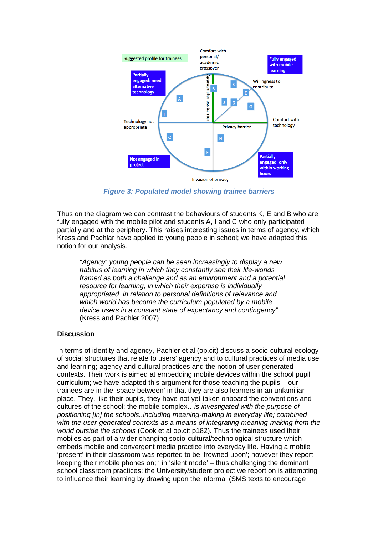

*Figure 3: Populated model showing trainee barriers*

Thus on the diagram we can contrast the behaviours of students K, E and B who are fully engaged with the mobile pilot and students A, I and C who only participated partially and at the periphery. This raises interesting issues in terms of agency, which Kress and Pachlar have applied to young people in school; we have adapted this notion for our analysis.

*"Agency: young people can be seen increasingly to display a new habitus of learning in which they constantly see their life-worlds framed as both a challenge and as an environment and a potential resource for learning, in which their expertise is individually appropriated in relation to personal definitions of relevance and which world has become the curriculum populated by a mobile device users in a constant state of expectancy and contingency"* (Kress and Pachler 2007)

#### **Discussion**

In terms of identity and agency, Pachler et al (op.cit) discuss a socio-cultural ecology of social structures that relate to users' agency and to cultural practices of media use and learning; agency and cultural practices and the notion of user-generated contexts. Their work is aimed at embedding mobile devices within the school pupil curriculum; we have adapted this argument for those teaching the pupils – our trainees are in the 'space between' in that they are also learners in an unfamiliar place. They, like their pupils, they have not yet taken onboard the conventions and cultures of the school; the mobile complex…*is investigated with the purpose of positioning [in] the schools..including meaning-making in everyday life; combined with the user-generated contexts as a means of integrating meaning-making from the world outside the schools* (Cook et al op.cit p182). Thus the trainees used their mobiles as part of a wider changing socio-cultural/technological structure which embeds mobile and convergent media practice into everyday life. Having a mobile 'present' in their classroom was reported to be 'frowned upon'; however they report keeping their mobile phones on; ' in 'silent mode' – thus challenging the dominant school classroom practices; the University/student project we report on is attempting to influence their learning by drawing upon the informal (SMS texts to encourage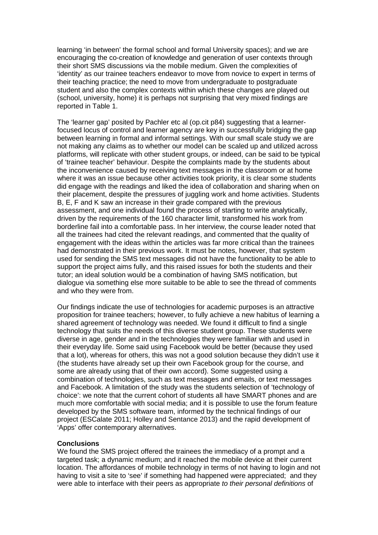learning 'in between' the formal school and formal University spaces); and we are encouraging the co-creation of knowledge and generation of user contexts through their short SMS discussions via the mobile medium. Given the complexities of 'identity' as our trainee teachers endeavor to move from novice to expert in terms of their teaching practice; the need to move from undergraduate to postgraduate student and also the complex contexts within which these changes are played out (school, university, home) it is perhaps not surprising that very mixed findings are reported in Table 1.

The 'learner gap' posited by Pachler etc al (op.cit p84) suggesting that a learnerfocused locus of control and learner agency are key in successfully bridging the gap between learning in formal and informal settings. With our small scale study we are not making any claims as to whether our model can be scaled up and utilized across platforms, will replicate with other student groups, or indeed, can be said to be typical of 'trainee teacher' behaviour. Despite the complaints made by the students about the inconvenience caused by receiving text messages in the classroom or at home where it was an issue because other activities took priority, it is clear some students did engage with the readings and liked the idea of collaboration and sharing when on their placement, despite the pressures of juggling work and home activities. Students B, E, F and K saw an increase in their grade compared with the previous assessment, and one individual found the process of starting to write analytically, driven by the requirements of the 160 character limit, transformed his work from borderline fail into a comfortable pass. In her interview, the course leader noted that all the trainees had cited the relevant readings, and commented that the quality of engagement with the ideas within the articles was far more critical than the trainees had demonstrated in their previous work. It must be notes, however, that system used for sending the SMS text messages did not have the functionality to be able to support the project aims fully, and this raised issues for both the students and their tutor; an ideal solution would be a combination of having SMS notification, but dialogue via something else more suitable to be able to see the thread of comments and who they were from.

Our findings indicate the use of technologies for academic purposes is an attractive proposition for trainee teachers; however, to fully achieve a new habitus of learning a shared agreement of technology was needed. We found it difficult to find a single technology that suits the needs of this diverse student group. These students were diverse in age, gender and in the technologies they were familiar with and used in their everyday life. Some said using Facebook would be better (because they used that a lot), whereas for others, this was not a good solution because they didn't use it (the students have already set up their own Facebook group for the course, and some are already using that of their own accord). Some suggested using a combination of technologies, such as text messages and emails, or text messages and Facebook. A limitation of the study was the students selection of 'technology of choice': we note that the current cohort of students all have SMART phones and are much more comfortable with social media; and it is possible to use the forum feature developed by the SMS software team, informed by the technical findings of our project (ESCalate 2011; Holley and Sentance 2013) and the rapid development of 'Apps' offer contemporary alternatives.

### **Conclusions**

We found the SMS project offered the trainees the immediacy of a prompt and a targeted task; a dynamic medium; and it reached the mobile device at their current location. The affordances of mobile technology in terms of not having to login and not having to visit a site to 'see' if something had happened were appreciated; and they were able to interface with their peers as appropriate *to their personal definitions* of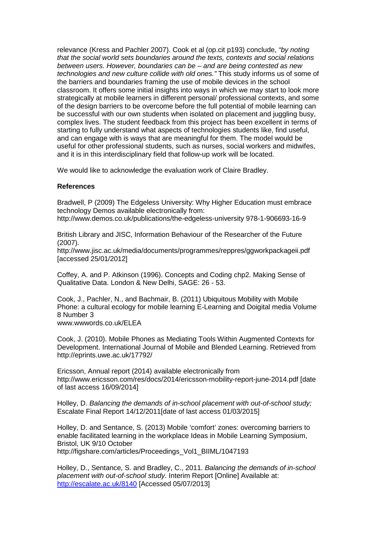relevance (Kress and Pachler 2007). Cook et al (op.cit p193) conclude, *"by noting that the social world sets boundaries around the texts, contexts and social relations between users. However, boundaries can be – and are being contested as new technologies and new culture collide with old ones."* This study informs us of some of the barriers and boundaries framing the use of mobile devices in the school classroom. It offers some initial insights into ways in which we may start to look more strategically at mobile learners in different personal/ professional contexts, and some of the design barriers to be overcome before the full potential of mobile learning can be successful with our own students when isolated on placement and juggling busy, complex lives. The student feedback from this project has been excellent in terms of starting to fully understand what aspects of technologies students like, find useful, and can engage with is ways that are meaningful for them. The model would be useful for other professional students, such as nurses, social workers and midwifes, and it is in this interdisciplinary field that follow-up work will be located.

We would like to acknowledge the evaluation work of Claire Bradley.

### **References**

Bradwell, P (2009) The Edgeless University: Why Higher Education must embrace technology Demos available electronically from:

<http://www.demos.co.uk/publications/the-edgeless-university> 978-1-906693-16-9

British Library and JISC, Information Behaviour of the Researcher of the Future (2007).

<http://www.jisc.ac.uk/media/documents/programmes/reppres/ggworkpackageii.pdf> [accessed 25/01/2012]

Coffey, A. and P. Atkinson (1996). Concepts and Coding chp2. Making Sense of Qualitative Data. London & New Delhi, SAGE: 26 - 53.

Cook, J., Pachler, N., and Bachmair, B. (2011) Ubiquitous Mobility with Mobile Phone: a cultural ecology for mobile learning E-Learning and Doigital media Volume 8 Number 3 www.wwwords.co.uk/ELEA

Cook, J. (2010). Mobile Phones as Mediating Tools Within Augmented Contexts for Development. International Journal of Mobile and Blended Learning. Retrieved from http://eprints.uwe.ac.uk/17792/

Ericsson, Annual report (2014) available electronically from <http://www.ericsson.com/res/docs/2014/ericsson-mobility-report-june-2014.pdf> [date of last access 16/09/2014]

Holley, D. *Balancing the demands of in-school placement with out-of-school study;* Escalate Final Report 14/12/2011[date of last access 01/03/2015]

Holley, D. and Sentance, S. (2013) Mobile 'comfort' zones: overcoming barriers to enable facilitated learning in the workplace Ideas in Mobile Learning Symposium, Bristol, UK 9/10 October [http://figshare.com/articles/Proceedings\\_Vol1\\_BIIML/1047193](http://figshare.com/articles/Proceedings_Vol1_BIIML/1047193)

Holley, D., Sentance, S. and Bradley, C., 2011. *Balancing the demands of in-school placement with out-of-school study*. Interim Report [Online] Available at: <http://escalate.ac.uk/8140> [Accessed 05/07/2013]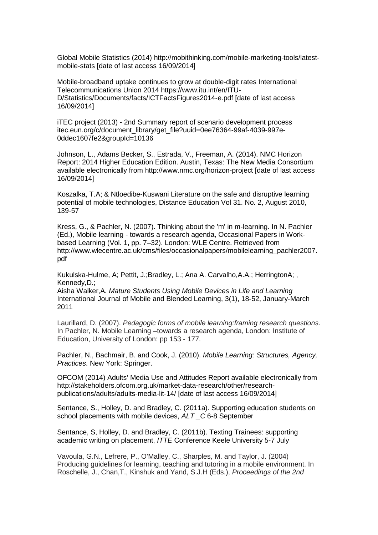Global Mobile Statistics (2014) [http://mobithinking.com/mobile-marketing-tools/latest](http://mobithinking.com/mobile-marketing-tools/latest-mobile-stats)[mobile-stats](http://mobithinking.com/mobile-marketing-tools/latest-mobile-stats) [date of last access 16/09/2014]

Mobile-broadband uptake continues to grow at double-digit rates International Telecommunications Union 2014 [https://www.itu.int/en/ITU-](https://www.itu.int/en/ITU-D/Statistics/Documents/facts/ICTFactsFigures2014-e.pdf)[D/Statistics/Documents/facts/ICTFactsFigures2014-e.pdf](https://www.itu.int/en/ITU-D/Statistics/Documents/facts/ICTFactsFigures2014-e.pdf) [date of last access 16/09/2014]

iTEC project (2013) - 2nd Summary report of scenario development process itec.eun.org/c/document\_library/get\_file?uuid=0ee76364-99af-4039-997e-0ddec1607fe2&groupId=10136

Johnson, L., Adams Becker, S., Estrada, V., Freeman, A. (2014). NMC Horizon Report: 2014 Higher Education Edition. Austin, Texas: The New Media Consortium available electronically from<http://www.nmc.org/horizon-project> [date of last access 16/09/2014]

Koszalka, T.A; & Ntloedibe-Kuswani Literature on the safe and disruptive learning potential of mobile technologies, Distance Education Vol 31. No. 2, August 2010, 139-57

Kress, G., & Pachler, N. (2007). Thinking about the 'm' in m-learning. In N. Pachler (Ed.), Mobile learning - towards a research agenda, Occasional Papers in Workbased Learning (Vol. 1, pp. 7–32). London: WLE Centre. Retrieved from [http://www.wlecentre.ac.uk/cms/files/occasionalpapers/mobilelearning\\_pachler2007.](http://www.wlecentre.ac.uk/cms/files/occasionalpapers/mobilelearning_pachler2007.pdf) [pdf](http://www.wlecentre.ac.uk/cms/files/occasionalpapers/mobilelearning_pachler2007.pdf) 

Kukulska-Hulme, A; Pettit, J.;Bradley, L.; Ana A. Carvalho,A.A.; HerringtonA; , Kennedy,D.;

Aisha Walker,A*. Mature Students Using Mobile Devices in Life and Learning* International Journal of Mobile and Blended Learning, 3(1), 18-52, January-March 2011

Laurillard, D. (2007). *Pedagogic forms of mobile learning:framing research questions*. In Pachler, N. Mobile Learning –towards a research agenda, London: Institute of Education, University of London: pp 153 - 177.

Pachler, N., Bachmair, B. and Cook, J. (2010). *Mobile Learning: Structures, Agency, Practices*. New York: Springer.

OFCOM (2014) Adults' Media Use and Attitudes Report available electronically from [http://stakeholders.ofcom.org.uk/market-data-research/other/research](http://stakeholders.ofcom.org.uk/market-data-research/other/research-publications/adults/adults-media-lit-14/)[publications/adults/adults-media-lit-14/](http://stakeholders.ofcom.org.uk/market-data-research/other/research-publications/adults/adults-media-lit-14/) [date of last access 16/09/2014]

Sentance, S., Holley, D. and Bradley, C. (2011a). Supporting education students on school placements with mobile devices, *ALT \_C* 6-8 September

Sentance, S, Holley, D. and Bradley, C. (2011b). Texting Trainees: supporting academic writing on placement, *ITTE* Conference Keele University 5-7 July

Vavoula, G.N., Lefrere, P., O'Malley, C., Sharples, M. and Taylor, J. (2004) Producing guidelines for learning, teaching and tutoring in a mobile environment. In Roschelle, J., Chan,T., Kinshuk and Yand, S.J.H (Eds.), *Proceedings of the 2nd*